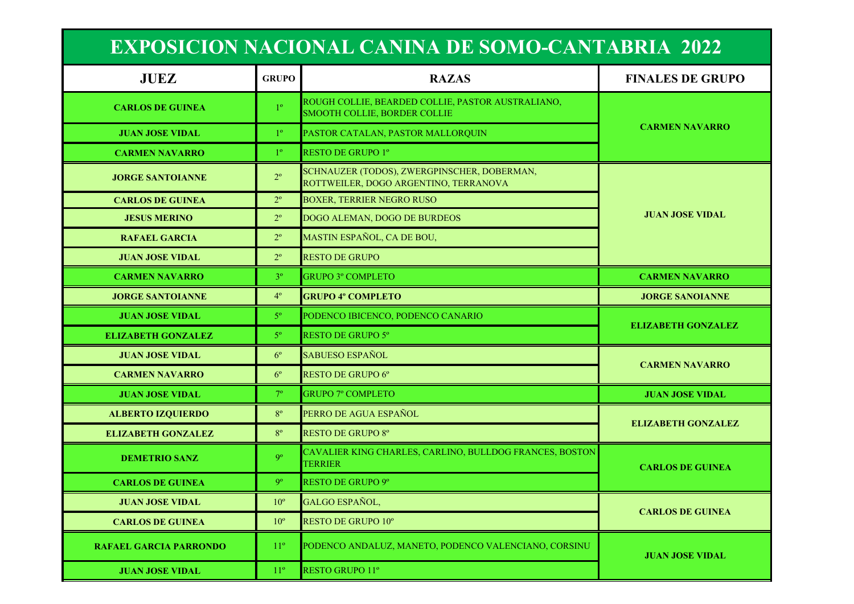| <b>EXPOSICION NACIONAL CANINA DE SOMO-CANTABRIA 2022</b> |                 |                                                                                          |                         |
|----------------------------------------------------------|-----------------|------------------------------------------------------------------------------------------|-------------------------|
| <b>JUEZ</b>                                              | <b>GRUPO</b>    | <b>RAZAS</b>                                                                             | <b>FINALES DE GRUPO</b> |
| <b>CARLOS DE GUINEA</b>                                  | 10 <sub>o</sub> | ROUGH COLLIE, BEARDED COLLIE, PASTOR AUSTRALIANO,<br><b>SMOOTH COLLIE, BORDER COLLIE</b> |                         |
| <b>JUAN JOSE VIDAL</b>                                   | 10              | PASTOR CATALAN, PASTOR MALLOROUIN                                                        | <b>CARMEN NAVARRO</b>   |
| <b>CARMEN NAVARRO</b>                                    | 10 <sub>o</sub> | <b>RESTO DE GRUPO 1º</b>                                                                 |                         |
| <b>JORGE SANTOIANNE</b>                                  | $2^{\circ}$     | SCHNAUZER (TODOS), ZWERGPINSCHER, DOBERMAN,<br>ROTTWEILER, DOGO ARGENTINO, TERRANOVA     |                         |

| <b>JORGE SANTOIANNE</b>            | $2^{\circ}$    | SCHINAUZEK (TUDUS), ZWEKUPINSCHEK, DUBEKMAN,<br>ROTTWEILER, DOGO ARGENTINO, TERRANOVA |                           |  |
|------------------------------------|----------------|---------------------------------------------------------------------------------------|---------------------------|--|
| <b>CARLOS DE GUINEA</b>            | $2^{\circ}$    | <b>BOXER, TERRIER NEGRO RUSO</b>                                                      |                           |  |
| $2^{\circ}$<br><b>JESUS MERINO</b> |                | DOGO ALEMAN, DOGO DE BURDEOS                                                          | <b>JUAN JOSE VIDAL</b>    |  |
| <b>RAFAEL GARCIA</b>               | $2^{\circ}$    | MASTIN ESPAÑOL, CA DE BOU,                                                            |                           |  |
| <b>JUAN JOSE VIDAL</b>             | $2^{\circ}$    | <b>RESTO DE GRUPO</b>                                                                 |                           |  |
| <b>CARMEN NAVARRO</b>              | 3 <sup>o</sup> | <b>GRUPO 3º COMPLETO</b>                                                              | <b>CARMEN NAVARRO</b>     |  |
| <b>JORGE SANTOIANNE</b>            | $4^{\circ}$    | <b>GRUPO 4º COMPLETO</b>                                                              | <b>JORGE SANOIANNE</b>    |  |
| <b>JUAN JOSE VIDAL</b>             | $5^{\circ}$    | PODENCO IBICENCO, PODENCO CANARIO                                                     | <b>ELIZABETH GONZALEZ</b> |  |
| <b>ELIZABETH GONZALEZ</b>          | $5^{\circ}$    | <b>RESTO DE GRUPO 5°</b>                                                              |                           |  |
| <b>JUAN JOSE VIDAL</b>             | $6^{\circ}$    | <b>SABUESO ESPAÑOL</b>                                                                | <b>CARMEN NAVARRO</b>     |  |
| <b>CARMEN NAVARRO</b>              | $6^{\circ}$    | RESTO DE GRUPO 6°                                                                     |                           |  |
| <b>JUAN JOSE VIDAL</b>             | $7^\circ$      | <b>GRUPO 7º COMPLETO</b>                                                              | <b>JUAN JOSE VIDAL</b>    |  |
| <b>ALBERTO IZQUIERDO</b>           | $8^{\circ}$    | PERRO DE AGUA ESPAÑOL                                                                 |                           |  |
| <b>ELIZABETH GONZALEZ</b>          | $8^{\circ}$    | <b>RESTO DE GRUPO 8°</b>                                                              | <b>ELIZABETH GONZALEZ</b> |  |
|                                    |                | CAVALIER KING CHARLES, CARLINO, BULLDOG ERANCES, BOSTON                               |                           |  |

| <b>DEMETRIO SANZ</b>          | O <sup>o</sup>  | CAVALIER KING CHARLES, CARLINO, BULLDOG FRANCES, BOSTON<br><b>TERRIER</b> | <b>CARLOS DE GUINEA</b> |
|-------------------------------|-----------------|---------------------------------------------------------------------------|-------------------------|
| <b>CARLOS DE GUINEA</b>       | Q°              | <b>RESTO DE GRUPO 9°</b>                                                  |                         |
| <b>JUAN JOSE VIDAL</b>        | $10^{\circ}$    | GALGO ESPAÑOL,                                                            | <b>CARLOS DE GUINEA</b> |
| <b>CARLOS DE GUINEA</b>       | $10^{\circ}$    | <b>RESTO DE GRUPO 10°</b>                                                 |                         |
| <b>RAFAEL GARCIA PARRONDO</b> | 11 <sup>o</sup> | PODENCO ANDALUZ, MANETO, PODENCO VALENCIANO, CORSINU                      | <b>JUAN JOSE VIDAL</b>  |
| <b>JUAN JOSE VIDAL</b>        | $11^{\circ}$    | <b>RESTO GRUPO 11°</b>                                                    |                         |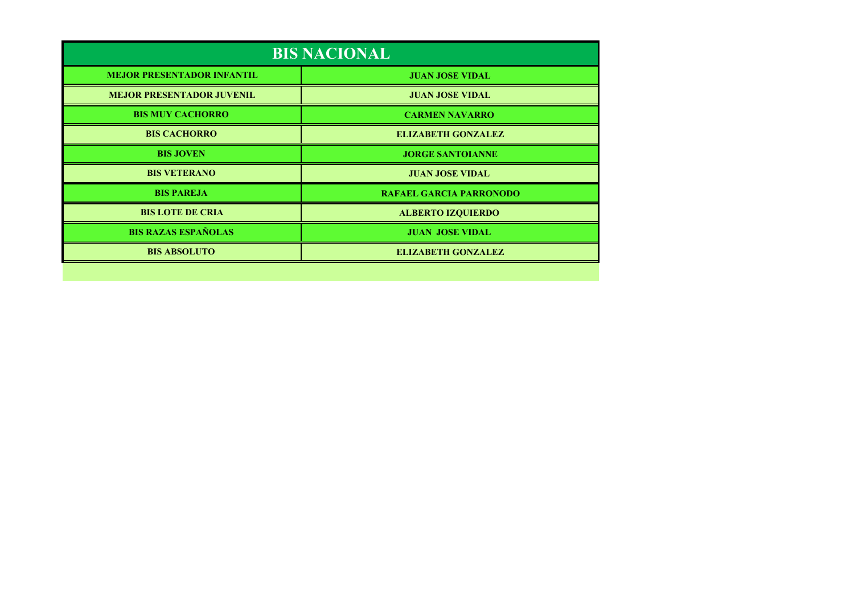| <b>BIS NACIONAL</b>               |                                |  |
|-----------------------------------|--------------------------------|--|
| <b>MEJOR PRESENTADOR INFANTIL</b> | <b>JUAN JOSE VIDAL</b>         |  |
| <b>MEJOR PRESENTADOR JUVENIL</b>  | <b>JUAN JOSE VIDAL</b>         |  |
| <b>BIS MUY CACHORRO</b>           | <b>CARMEN NAVARRO</b>          |  |
| <b>BIS CACHORRO</b>               | <b>ELIZABETH GONZALEZ</b>      |  |
| <b>BIS JOVEN</b>                  | <b>JORGE SANTOIANNE</b>        |  |
| <b>BIS VETERANO</b>               | <b>JUAN JOSE VIDAL</b>         |  |
| <b>BIS PAREJA</b>                 | <b>RAFAEL GARCIA PARRONODO</b> |  |
| <b>BIS LOTE DE CRIA</b>           | <b>ALBERTO IZQUIERDO</b>       |  |
| <b>BIS RAZAS ESPAÑOLAS</b>        | <b>JUAN JOSE VIDAL</b>         |  |
| <b>BIS ABSOLUTO</b>               | <b>ELIZABETH GONZALEZ</b>      |  |
|                                   |                                |  |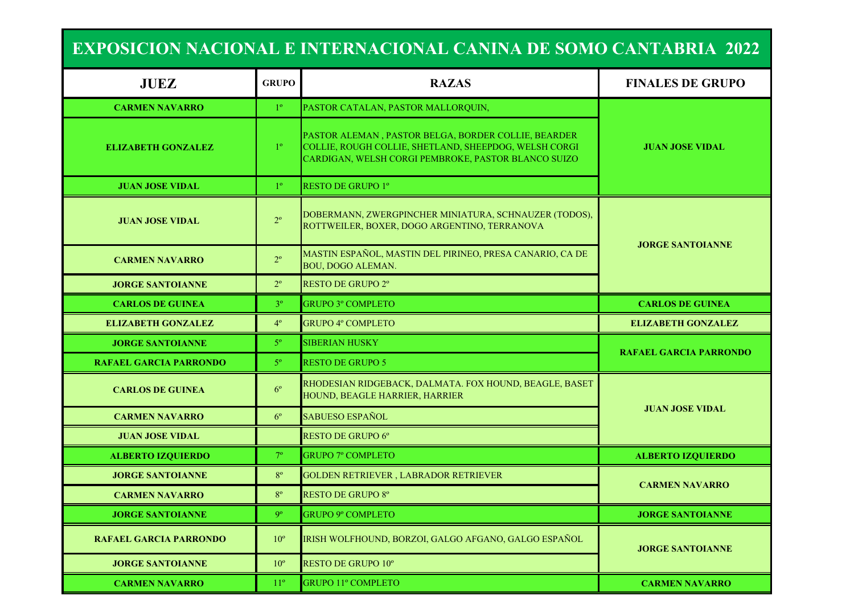| <b>EXPOSICION NACIONAL E INTERNACIONAL CANINA DE SOMO CANTABRIA 2022</b> |                |                                                                                                                                                                     |                               |  |
|--------------------------------------------------------------------------|----------------|---------------------------------------------------------------------------------------------------------------------------------------------------------------------|-------------------------------|--|
| <b>JUEZ</b>                                                              | <b>GRUPO</b>   | <b>RAZAS</b>                                                                                                                                                        | <b>FINALES DE GRUPO</b>       |  |
| <b>CARMEN NAVARRO</b>                                                    | $1^{\circ}$    | PASTOR CATALAN, PASTOR MALLORQUIN,                                                                                                                                  |                               |  |
| <b>ELIZABETH GONZALEZ</b>                                                | $1^{\circ}$    | PASTOR ALEMAN, PASTOR BELGA, BORDER COLLIE, BEARDER<br>COLLIE, ROUGH COLLIE, SHETLAND, SHEEPDOG, WELSH CORGI<br>CARDIGAN, WELSH CORGI PEMBROKE, PASTOR BLANCO SUIZO | <b>JUAN JOSE VIDAL</b>        |  |
| <b>JUAN JOSE VIDAL</b>                                                   | $1^{\circ}$    | <b>RESTO DE GRUPO 1º</b>                                                                                                                                            |                               |  |
| <b>JUAN JOSE VIDAL</b>                                                   | $2^{\circ}$    | DOBERMANN, ZWERGPINCHER MINIATURA, SCHNAUZER (TODOS),<br>ROTTWEILER, BOXER, DOGO ARGENTINO, TERRANOVA                                                               |                               |  |
| <b>CARMEN NAVARRO</b>                                                    | $2^{\circ}$    | MASTIN ESPAÑOL, MASTIN DEL PIRINEO, PRESA CANARIO, CA DE<br><b>BOU, DOGO ALEMAN.</b>                                                                                | <b>JORGE SANTOIANNE</b>       |  |
| <b>JORGE SANTOIANNE</b>                                                  | $2^{\circ}$    | <b>RESTO DE GRUPO 2°</b>                                                                                                                                            |                               |  |
| <b>CARLOS DE GUINEA</b>                                                  | 3 <sup>o</sup> | <b>GRUPO 3º COMPLETO</b>                                                                                                                                            | <b>CARLOS DE GUINEA</b>       |  |
| <b>ELIZABETH GONZALEZ</b>                                                | $4^{\circ}$    | <b>GRUPO 4º COMPLETO</b>                                                                                                                                            | <b>ELIZABETH GONZALEZ</b>     |  |
| <b>JORGE SANTOIANNE</b>                                                  | $5^{\circ}$    | <b>SIBERIAN HUSKY</b>                                                                                                                                               | <b>RAFAEL GARCIA PARRONDO</b> |  |
| <b>RAFAEL GARCIA PARRONDO</b>                                            | $5^{\circ}$    | <b>RESTO DE GRUPO 5</b>                                                                                                                                             |                               |  |
| <b>CARLOS DE GUINEA</b>                                                  | $6^{\circ}$    | RHODESIAN RIDGEBACK, DALMATA. FOX HOUND, BEAGLE, BASET<br>HOUND, BEAGLE HARRIER, HARRIER                                                                            |                               |  |
| <b>CARMEN NAVARRO</b>                                                    | $6^{\circ}$    | <b>SABUESO ESPAÑOL</b>                                                                                                                                              | <b>JUAN JOSE VIDAL</b>        |  |
| <b>JUAN JOSE VIDAL</b>                                                   |                | <b>RESTO DE GRUPO 6°</b>                                                                                                                                            |                               |  |
| <b>ALBERTO IZQUIERDO</b>                                                 | $7^\circ$      | <b>GRUPO 7º COMPLETO</b>                                                                                                                                            | <b>ALBERTO IZQUIERDO</b>      |  |
| <b>JORGE SANTOIANNE</b>                                                  | $8^{\circ}$    | GOLDEN RETRIEVER, LABRADOR RETRIEVER                                                                                                                                | <b>CARMEN NAVARRO</b>         |  |
| <b>CARMEN NAVARRO</b>                                                    | $8^{\circ}$    | <b>RESTO DE GRUPO 8°</b>                                                                                                                                            |                               |  |
| <b>JORGE SANTOIANNE</b>                                                  | 9 <sup>o</sup> | <b>GRUPO 9º COMPLETO</b>                                                                                                                                            | <b>JORGE SANTOIANNE</b>       |  |
| <b>RAFAEL GARCIA PARRONDO</b>                                            | $10^{\circ}$   | IRISH WOLFHOUND, BORZOI, GALGO AFGANO, GALGO ESPAÑOL                                                                                                                | <b>JORGE SANTOIANNE</b>       |  |
| <b>JORGE SANTOIANNE</b>                                                  | $10^{\circ}$   | <b>RESTO DE GRUPO 10°</b>                                                                                                                                           |                               |  |

**CARMEN NAVARRO** 

**CARMEN NAVARRO 11<sup>°</sup> GRUPO 11<sup>°</sup> COMPLETO**